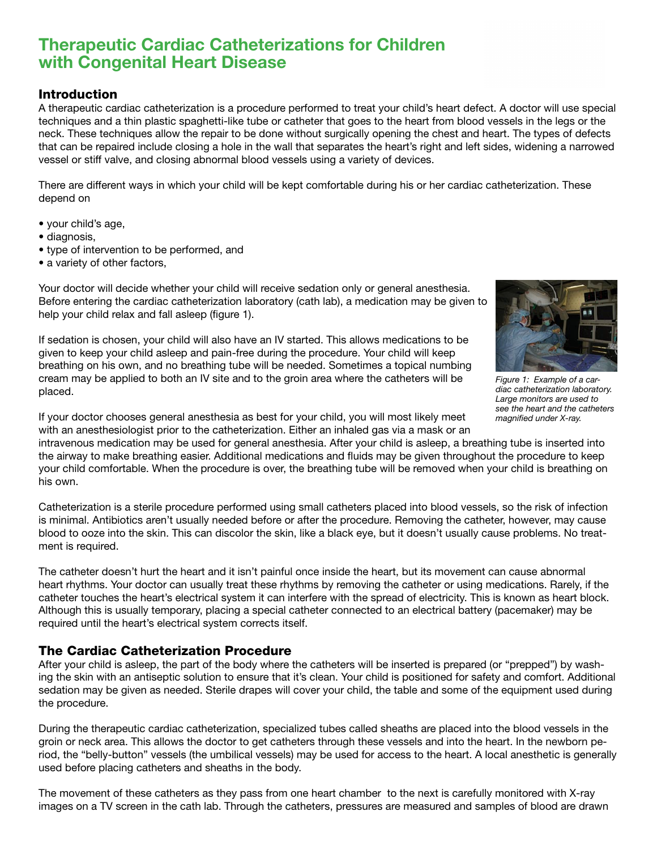# Therapeutic Cardiac Catheterizations for Children with Congenital Heart Disease

#### Introduction

A therapeutic cardiac catheterization is a procedure performed to treat your child's heart defect. A doctor will use special techniques and a thin plastic spaghetti-like tube or catheter that goes to the heart from blood vessels in the legs or the neck. These techniques allow the repair to be done without surgically opening the chest and heart. The types of defects that can be repaired include closing a hole in the wall that separates the heart's right and left sides, widening a narrowed vessel or stiff valve, and closing abnormal blood vessels using a variety of devices.

There are different ways in which your child will be kept comfortable during his or her cardiac catheterization. These depend on

- your child's age,
- diagnosis,
- type of intervention to be performed, and
- a variety of other factors,

Your doctor will decide whether your child will receive sedation only or general anesthesia. Before entering the cardiac catheterization laboratory (cath lab), a medication may be given to help your child relax and fall asleep (figure 1).

If sedation is chosen, your child will also have an IV started. This allows medications to be given to keep your child asleep and pain-free during the procedure. Your child will keep breathing on his own, and no breathing tube will be needed. Sometimes a topical numbing cream may be applied to both an IV site and to the groin area where the catheters will be placed.



*Figure 1: Example of a cardiac catheterization laboratory. Large monitors are used to see the heart and the catheters magnified under X-ray.*

If your doctor chooses general anesthesia as best for your child, you will most likely meet with an anesthesiologist prior to the catheterization. Either an inhaled gas via a mask or an

intravenous medication may be used for general anesthesia. After your child is asleep, a breathing tube is inserted into the airway to make breathing easier. Additional medications and fluids may be given throughout the procedure to keep your child comfortable. When the procedure is over, the breathing tube will be removed when your child is breathing on his own.

Catheterization is a sterile procedure performed using small catheters placed into blood vessels, so the risk of infection is minimal. Antibiotics aren't usually needed before or after the procedure. Removing the catheter, however, may cause blood to ooze into the skin. This can discolor the skin, like a black eye, but it doesn't usually cause problems. No treatment is required.

The catheter doesn't hurt the heart and it isn't painful once inside the heart, but its movement can cause abnormal heart rhythms. Your doctor can usually treat these rhythms by removing the catheter or using medications. Rarely, if the catheter touches the heart's electrical system it can interfere with the spread of electricity. This is known as heart block. Although this is usually temporary, placing a special catheter connected to an electrical battery (pacemaker) may be required until the heart's electrical system corrects itself.

# The Cardiac Catheterization Procedure

After your child is asleep, the part of the body where the catheters will be inserted is prepared (or "prepped") by washing the skin with an antiseptic solution to ensure that it's clean. Your child is positioned for safety and comfort. Additional sedation may be given as needed. Sterile drapes will cover your child, the table and some of the equipment used during the procedure.

During the therapeutic cardiac catheterization, specialized tubes called sheaths are placed into the blood vessels in the groin or neck area. This allows the doctor to get catheters through these vessels and into the heart. In the newborn period, the "belly-button" vessels (the umbilical vessels) may be used for access to the heart. A local anesthetic is generally used before placing catheters and sheaths in the body.

The movement of these catheters as they pass from one heart chamber to the next is carefully monitored with X-ray images on a TV screen in the cath lab. Through the catheters, pressures are measured and samples of blood are drawn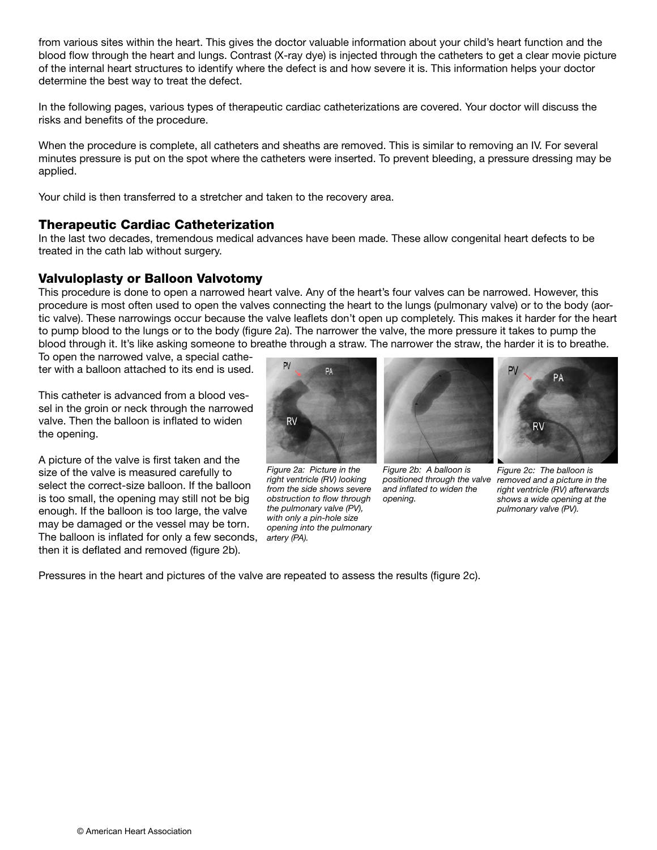from various sites within the heart. This gives the doctor valuable information about your child's heart function and the blood flow through the heart and lungs. Contrast (X-ray dye) is injected through the catheters to get a clear movie picture of the internal heart structures to identify where the defect is and how severe it is. This information helps your doctor determine the best way to treat the defect.

In the following pages, various types of therapeutic cardiac catheterizations are covered. Your doctor will discuss the risks and benefits of the procedure.

When the procedure is complete, all catheters and sheaths are removed. This is similar to removing an IV. For several minutes pressure is put on the spot where the catheters were inserted. To prevent bleeding, a pressure dressing may be applied.

Your child is then transferred to a stretcher and taken to the recovery area.

#### Therapeutic Cardiac Catheterization

In the last two decades, tremendous medical advances have been made. These allow congenital heart defects to be treated in the cath lab without surgery.

#### Valvuloplasty or Balloon Valvotomy

This procedure is done to open a narrowed heart valve. Any of the heart's four valves can be narrowed. However, this procedure is most often used to open the valves connecting the heart to the lungs (pulmonary valve) or to the body (aortic valve). These narrowings occur because the valve leaflets don't open up completely. This makes it harder for the heart to pump blood to the lungs or to the body (figure 2a). The narrower the valve, the more pressure it takes to pump the blood through it. It's like asking someone to breathe through a straw. The narrower the straw, the harder it is to breathe.

To open the narrowed valve, a special catheter with a balloon attached to its end is used.

This catheter is advanced from a blood vessel in the groin or neck through the narrowed valve. Then the balloon is inflated to widen the opening.

A picture of the valve is first taken and the size of the valve is measured carefully to select the correct-size balloon. If the balloon is too small, the opening may still not be big enough. If the balloon is too large, the valve may be damaged or the vessel may be torn. The balloon is inflated for only a few seconds, *artery (PA).* then it is deflated and removed (figure 2b).



*Figure 2a: Picture in the right ventricle (RV) looking from the side shows severe obstruction to flow through the pulmonary valve (PV), with only a pin-hole size opening into the pulmonary* 



*Figure 2b: A balloon is and inflated to widen the opening.*



*positioned through the valve removed and a picture in the Figure 2c: The balloon is right ventricle (RV) afterwards shows a wide opening at the pulmonary valve (PV).*

Pressures in the heart and pictures of the valve are repeated to assess the results (figure 2c).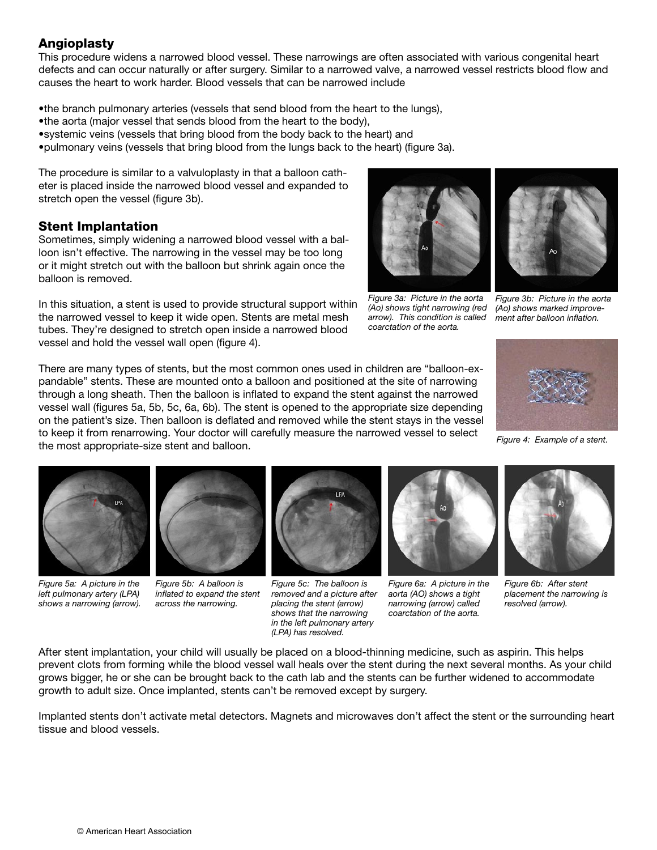# **Angioplasty**

This procedure widens a narrowed blood vessel. These narrowings are often associated with various congenital heart defects and can occur naturally or after surgery. Similar to a narrowed valve, a narrowed vessel restricts blood flow and causes the heart to work harder. Blood vessels that can be narrowed include

•the branch pulmonary arteries (vessels that send blood from the heart to the lungs),

•the aorta (major vessel that sends blood from the heart to the body),

•systemic veins (vessels that bring blood from the body back to the heart) and

•pulmonary veins (vessels that bring blood from the lungs back to the heart) (figure 3a).

The procedure is similar to a valvuloplasty in that a balloon catheter is placed inside the narrowed blood vessel and expanded to stretch open the vessel (figure 3b).

#### Stent Implantation

Sometimes, simply widening a narrowed blood vessel with a balloon isn't effective. The narrowing in the vessel may be too long or it might stretch out with the balloon but shrink again once the balloon is removed.

In this situation, a stent is used to provide structural support within the narrowed vessel to keep it wide open. Stents are metal mesh tubes. They're designed to stretch open inside a narrowed blood vessel and hold the vessel wall open (figure 4).

There are many types of stents, but the most common ones used in children are "balloon-expandable" stents. These are mounted onto a balloon and positioned at the site of narrowing through a long sheath. Then the balloon is inflated to expand the stent against the narrowed vessel wall (figures 5a, 5b, 5c, 6a, 6b). The stent is opened to the appropriate size depending on the patient's size. Then balloon is deflated and removed while the stent stays in the vessel to keep it from renarrowing. Your doctor will carefully measure the narrowed vessel to select the most appropriate-size stent and balloon.

*Figure 5a: A picture in the left pulmonary artery (LPA)* 



*inflated to expand the stent across the narrowing.* 



*Figure 5c: The balloon is removed and a picture after placing the stent (arrow) shows that the narrowing in the left pulmonary artery (LPA) has resolved.*



*Figure 3a: Picture in the aorta* 

*arrow). This condition is called coarctation of the aorta.*

*Figure 6a: A picture in the aorta (AO) shows a tight narrowing (arrow) called coarctation of the aorta.*



*(Ao) shows tight narrowing (red Figure 3b: Picture in the aorta (Ao) shows marked improvement after balloon inflation.*



*Figure 4: Example of a stent.*

*Figure 6b: After stent placement the narrowing is resolved (arrow).* 

After stent implantation, your child will usually be placed on a blood-thinning medicine, such as aspirin. This helps prevent clots from forming while the blood vessel wall heals over the stent during the next several months. As your child grows bigger, he or she can be brought back to the cath lab and the stents can be further widened to accommodate growth to adult size. Once implanted, stents can't be removed except by surgery.

Implanted stents don't activate metal detectors. Magnets and microwaves don't affect the stent or the surrounding heart tissue and blood vessels.

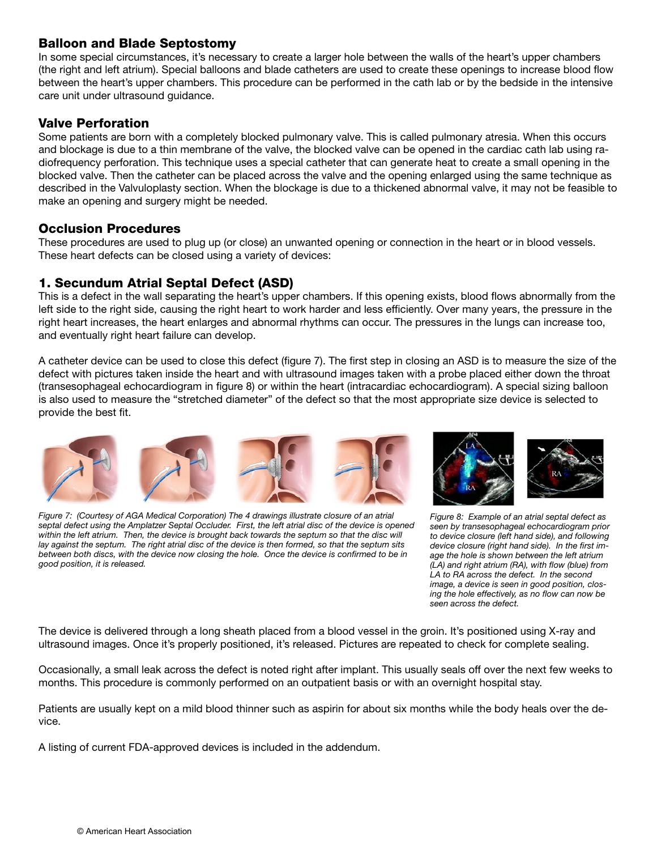#### Balloon and Blade Septostomy

In some special circumstances, it's necessary to create a larger hole between the walls of the heart's upper chambers (the right and left atrium). Special balloons and blade catheters are used to create these openings to increase blood flow between the heart's upper chambers. This procedure can be performed in the cath lab or by the bedside in the intensive care unit under ultrasound guidance.

#### Valve Perforation

Some patients are born with a completely blocked pulmonary valve. This is called pulmonary atresia. When this occurs and blockage is due to a thin membrane of the valve, the blocked valve can be opened in the cardiac cath lab using radiofrequency perforation. This technique uses a special catheter that can generate heat to create a small opening in the blocked valve. Then the catheter can be placed across the valve and the opening enlarged using the same technique as described in the Valvuloplasty section. When the blockage is due to a thickened abnormal valve, it may not be feasible to make an opening and surgery might be needed.

#### Occlusion Procedures

These procedures are used to plug up (or close) an unwanted opening or connection in the heart or in blood vessels. These heart defects can be closed using a variety of devices:

# 1. Secundum Atrial Septal Defect (ASD)

This is a defect in the wall separating the heart's upper chambers. If this opening exists, blood flows abnormally from the left side to the right side, causing the right heart to work harder and less efficiently. Over many years, the pressure in the right heart increases, the heart enlarges and abnormal rhythms can occur. The pressures in the lungs can increase too, and eventually right heart failure can develop.

A catheter device can be used to close this defect (figure 7). The first step in closing an ASD is to measure the size of the defect with pictures taken inside the heart and with ultrasound images taken with a probe placed either down the throat (transesophageal echocardiogram in figure 8) or within the heart (intracardiac echocardiogram). A special sizing balloon is also used to measure the "stretched diameter" of the defect so that the most appropriate size device is selected to provide the best fit.



*Figure 7: (Courtesy of AGA Medical Corporation) The 4 drawings illustrate closure of an atrial septal defect using the Amplatzer Septal Occluder. First, the left atrial disc of the device is opened*  within the left atrium. Then, the device is brought back towards the septum so that the disc will *lay against the septum. The right atrial disc of the device is then formed, so that the septum sits between both discs, with the device now closing the hole. Once the device is confirmed to be in good position, it is released.*



*seen by transesophageal echocardiogram prior to device closure (left hand side), and following device closure (right hand side). In the first image the hole is shown between the left atrium (LA) and right atrium (RA), with flow (blue) from LA to RA across the defect. In the second image, a device is seen in good position, closing the hole effectively, as no flow can now be seen across the defect.* 

The device is delivered through a long sheath placed from a blood vessel in the groin. It's positioned using X-ray and ultrasound images. Once it's properly positioned, it's released. Pictures are repeated to check for complete sealing.

Occasionally, a small leak across the defect is noted right after implant. This usually seals off over the next few weeks to months. This procedure is commonly performed on an outpatient basis or with an overnight hospital stay.

Patients are usually kept on a mild blood thinner such as aspirin for about six months while the body heals over the device.

A listing of current FDA-approved devices is included in the addendum.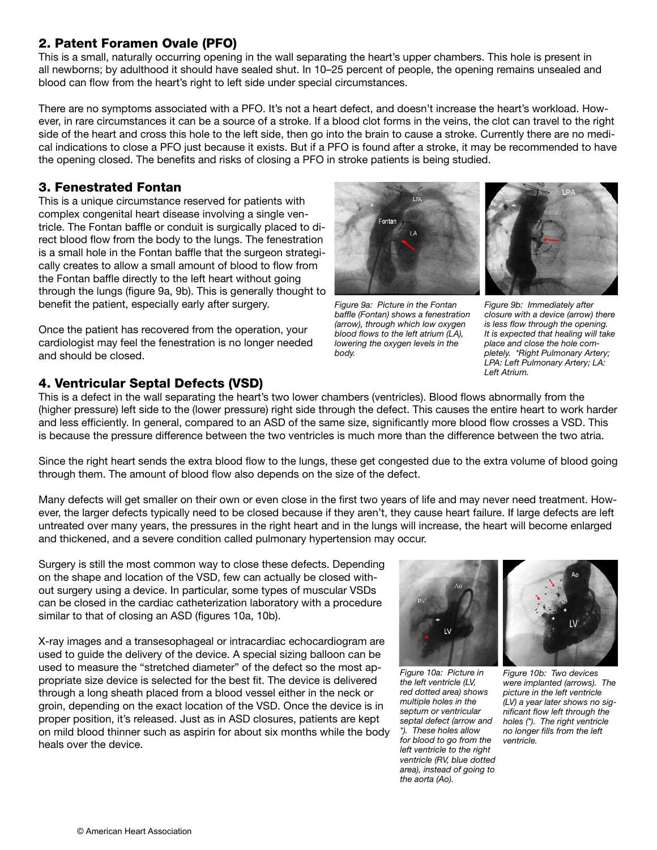# 2. Patent Foramen Ovale (PFO)

This is a small, naturally occurring opening in the wall separating the heart's upper chambers. This hole is present in all newborns; by adulthood it should have sealed shut. In 10–25 percent of people, the opening remains unsealed and blood can flow from the heart's right to left side under special circumstances.

There are no symptoms associated with a PFO. It's not a heart defect, and doesn't increase the heart's workload. However, in rare circumstances it can be a source of a stroke. If a blood clot forms in the veins, the clot can travel to the right side of the heart and cross this hole to the left side, then go into the brain to cause a stroke. Currently there are no medical indications to close a PFO just because it exists. But if a PFO is found after a stroke, it may be recommended to have the opening closed. The benefits and risks of closing a PFO in stroke patients is being studied.

# 3. Fenestrated Fontan

This is a unique circumstance reserved for patients with complex congenital heart disease involving a single ventricle. The Fontan baffle or conduit is surgically placed to direct blood flow from the body to the lungs. The fenestration is a small hole in the Fontan baffle that the surgeon strategically creates to allow a small amount of blood to flow from the Fontan baffle directly to the left heart without going through the lungs (figure 9a, 9b). This is generally thought to benefit the patient, especially early after surgery.

Once the patient has recovered from the operation, your cardiologist may feel the fenestration is no longer needed and should be closed.

# 4. Ventricular Septal Defects (VSD)

© American Heart Association

This is a defect in the wall separating the heart's two lower chambers (ventricles). Blood flows abnormally from the (higher pressure) left side to the (lower pressure) right side through the defect. This causes the entire heart to work harder and less efficiently. In general, compared to an ASD of the same size, significantly more blood flow crosses a VSD. This is because the pressure difference between the two ventricles is much more than the difference between the two atria.

Since the right heart sends the extra blood flow to the lungs, these get congested due to the extra volume of blood going through them. The amount of blood flow also depends on the size of the defect.

Many defects will get smaller on their own or even close in the first two years of life and may never need treatment. However, the larger defects typically need to be closed because if they aren't, they cause heart failure. If large defects are left untreated over many years, the pressures in the right heart and in the lungs will increase, the heart will become enlarged and thickened, and a severe condition called pulmonary hypertension may occur.

Surgery is still the most common way to close these defects. Depending on the shape and location of the VSD, few can actually be closed without surgery using a device. In particular, some types of muscular VSDs can be closed in the cardiac catheterization laboratory with a procedure similar to that of closing an ASD (figures 10a, 10b).

X-ray images and a transesophageal or intracardiac echocardiogram are used to guide the delivery of the device. A special sizing balloon can be used to measure the "stretched diameter" of the defect so the most appropriate size device is selected for the best fit. The device is delivered through a long sheath placed from a blood vessel either in the neck or groin, depending on the exact location of the VSD. Once the device is in proper position, it's released. Just as in ASD closures, patients are kept on mild blood thinner such as aspirin for about six months while the body heals over the device.

*septal defect (arrow and for blood to go from the Figure 10b: Two devices were implanted (arrows). The picture in the left ventricle (LV) a year later shows no significant flow left through the holes (\*). The right ventricle no longer fills from the left ventricle.* 

*Figure 9a: Picture in the Fontan baffle (Fontan) shows a fenestration (arrow), through which low oxygen blood flows to the left atrium (LA), lowering the oxygen levels in the body.*

*Figure 9b: Immediately after closure with a device (arrow) there is less flow through the opening. It is expected that healing will take place and close the hole completely. \*Right Pulmonary Artery; LPA: Left Pulmonary Artery; LA: Left Atrium.* 



*Figure 10a: Picture in the left ventricle (LV, red dotted area) shows multiple holes in the septum or ventricular* 

*\*). These holes allow* 

*the aorta (Ao).*

*left ventricle to the right ventricle (RV, blue dotted area), instead of going to* 



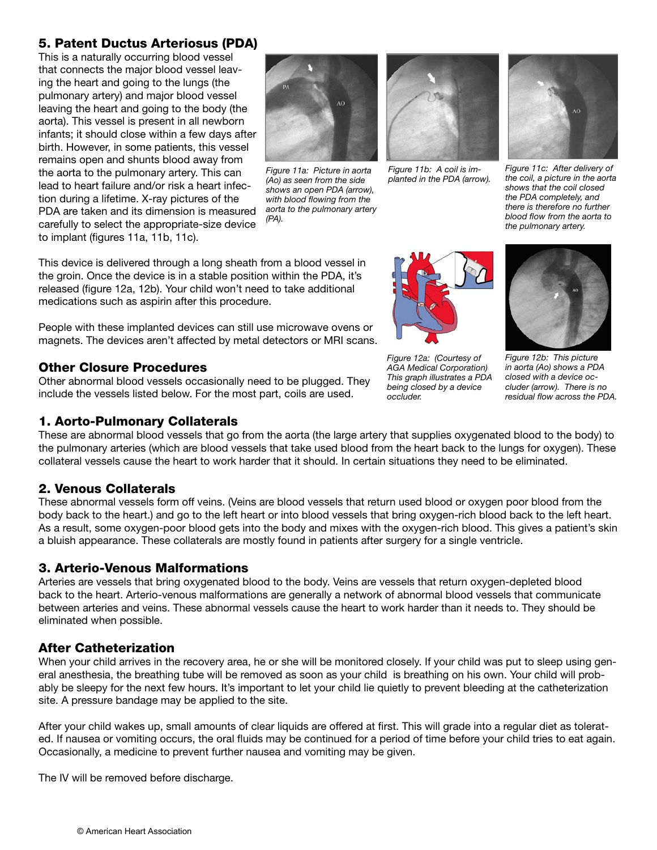# 5. Patent Ductus Arteriosus (PDA)

This is a naturally occurring blood vessel that connects the major blood vessel leaving the heart and going to the lungs (the pulmonary artery) and major blood vessel leaving the heart and going to the body (the aorta). This vessel is present in all newborn infants; it should close within a few days after birth. However, in some patients, this vessel remains open and shunts blood away from the aorta to the pulmonary artery. This can lead to heart failure and/or risk a heart infection during a lifetime. X-ray pictures of the PDA are taken and its dimension is measured carefully to select the appropriate-size device to implant (figures 11a, 11b, 11c).



*Figure 11a: Picture in aorta (Ao) as seen from the side shows an open PDA (arrow), with blood flowing from the aorta to the pulmonary artery (PA).*



*Figure 11b: A coil is implanted in the PDA (arrow).*



*Figure 11c: After delivery of the coil, a picture in the aorta shows that the coil closed the PDA completely, and there is therefore no further blood flow from the aorta to the pulmonary artery.*

This device is delivered through a long sheath from a blood vessel in the groin. Once the device is in a stable position within the PDA, it's released (figure 12a, 12b). Your child won't need to take additional medications such as aspirin after this procedure.

People with these implanted devices can still use microwave ovens or magnets. The devices aren't affected by metal detectors or MRI scans.

# Other Closure Procedures

Other abnormal blood vessels occasionally need to be plugged. They include the vessels listed below. For the most part, coils are used.

# 1. Aorto-Pulmonary Collaterals



*Figure 12a: (Courtesy of AGA Medical Corporation) This graph illustrates a PDA being closed by a device occluder.*



*Figure 12b: This picture in aorta (Ao) shows a PDA closed with a device occluder (arrow). There is no residual flow across the PDA.*

These are abnormal blood vessels that go from the aorta (the large artery that supplies oxygenated blood to the body) to the pulmonary arteries (which are blood vessels that take used blood from the heart back to the lungs for oxygen). These collateral vessels cause the heart to work harder that it should. In certain situations they need to be eliminated.

# 2. Venous Collaterals

These abnormal vessels form off veins. (Veins are blood vessels that return used blood or oxygen poor blood from the body back to the heart.) and go to the left heart or into blood vessels that bring oxygen-rich blood back to the left heart. As a result, some oxygen-poor blood gets into the body and mixes with the oxygen-rich blood. This gives a patient's skin a bluish appearance. These collaterals are mostly found in patients after surgery for a single ventricle.

#### 3. Arterio-Venous Malformations

Arteries are vessels that bring oxygenated blood to the body. Veins are vessels that return oxygen-depleted blood back to the heart. Arterio-venous malformations are generally a network of abnormal blood vessels that communicate between arteries and veins. These abnormal vessels cause the heart to work harder than it needs to. They should be eliminated when possible.

# After Catheterization

When your child arrives in the recovery area, he or she will be monitored closely. If your child was put to sleep using general anesthesia, the breathing tube will be removed as soon as your child is breathing on his own. Your child will probably be sleepy for the next few hours. It's important to let your child lie quietly to prevent bleeding at the catheterization site. A pressure bandage may be applied to the site.

After your child wakes up, small amounts of clear liquids are offered at first. This will grade into a regular diet as tolerated. If nausea or vomiting occurs, the oral fluids may be continued for a period of time before your child tries to eat again. Occasionally, a medicine to prevent further nausea and vomiting may be given.

The IV will be removed before discharge.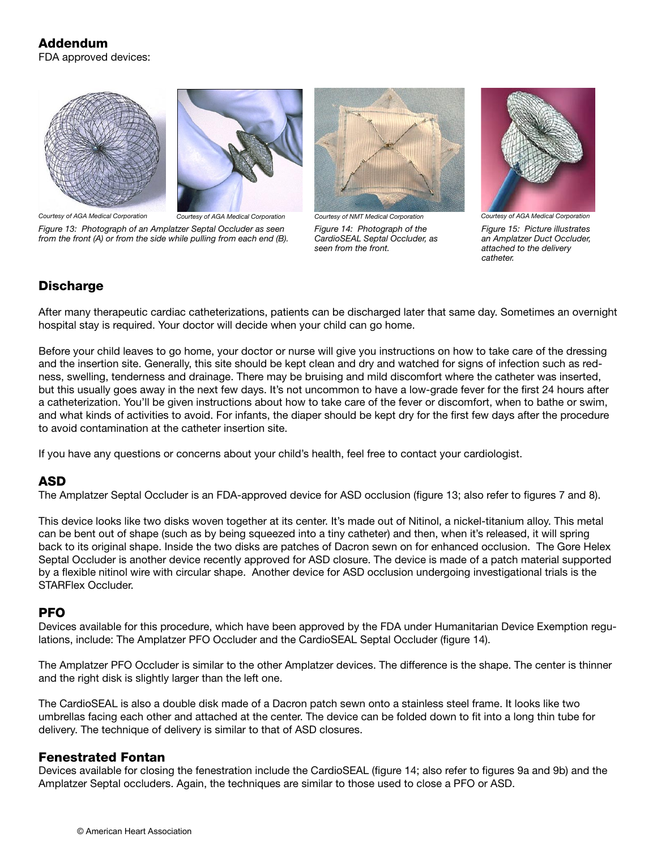



*Courtesy of AGA Medical Corporation Courtesy of AGA Medical Corporation Courtesy of NMT Medical Corporation*

*from the front (A) or from the side while pulling from each end (B).*

*Figure 13: Photograph of an Amplatzer Septal Occluder as seen* 

*Figure 14: Photograph of the CardioSEAL Septal Occluder, as seen from the front.* 



*Figure 15: Picture illustrates an Amplatzer Duct Occluder, attached to the delivery catheter.*

# **Discharge**

After many therapeutic cardiac catheterizations, patients can be discharged later that same day. Sometimes an overnight hospital stay is required. Your doctor will decide when your child can go home.

Before your child leaves to go home, your doctor or nurse will give you instructions on how to take care of the dressing and the insertion site. Generally, this site should be kept clean and dry and watched for signs of infection such as redness, swelling, tenderness and drainage. There may be bruising and mild discomfort where the catheter was inserted, but this usually goes away in the next few days. It's not uncommon to have a low-grade fever for the first 24 hours after a catheterization. You'll be given instructions about how to take care of the fever or discomfort, when to bathe or swim, and what kinds of activities to avoid. For infants, the diaper should be kept dry for the first few days after the procedure to avoid contamination at the catheter insertion site.

If you have any questions or concerns about your child's health, feel free to contact your cardiologist.

#### ASD

The Amplatzer Septal Occluder is an FDA-approved device for ASD occlusion (figure 13; also refer to figures 7 and 8).

This device looks like two disks woven together at its center. It's made out of Nitinol, a nickel-titanium alloy. This metal can be bent out of shape (such as by being squeezed into a tiny catheter) and then, when it's released, it will spring back to its original shape. Inside the two disks are patches of Dacron sewn on for enhanced occlusion. The Gore Helex Septal Occluder is another device recently approved for ASD closure. The device is made of a patch material supported by a flexible nitinol wire with circular shape. Another device for ASD occlusion undergoing investigational trials is the STARFlex Occluder.

#### PFO

Devices available for this procedure, which have been approved by the FDA under Humanitarian Device Exemption regulations, include: The Amplatzer PFO Occluder and the CardioSEAL Septal Occluder (figure 14).

The Amplatzer PFO Occluder is similar to the other Amplatzer devices. The difference is the shape. The center is thinner and the right disk is slightly larger than the left one.

The CardioSEAL is also a double disk made of a Dacron patch sewn onto a stainless steel frame. It looks like two umbrellas facing each other and attached at the center. The device can be folded down to fit into a long thin tube for delivery. The technique of delivery is similar to that of ASD closures.

#### Fenestrated Fontan

Devices available for closing the fenestration include the CardioSEAL (figure 14; also refer to figures 9a and 9b) and the Amplatzer Septal occluders. Again, the techniques are similar to those used to close a PFO or ASD.